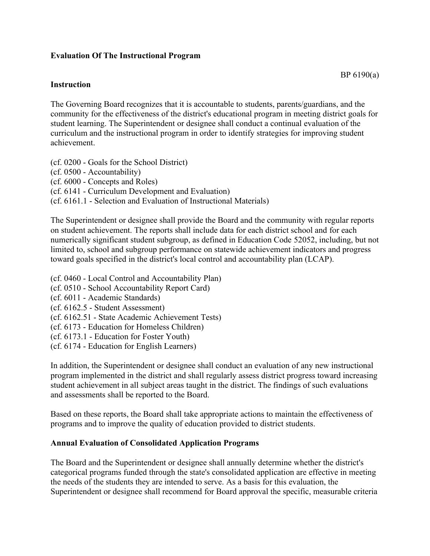## **Evaluation Of The Instructional Program**

## **Instruction**

The Governing Board recognizes that it is accountable to students, parents/guardians, and the community for the effectiveness of the district's educational program in meeting district goals for student learning. The Superintendent or designee shall conduct a continual evaluation of the curriculum and the instructional program in order to identify strategies for improving student achievement.

(cf. 0200 - Goals for the School District) (cf. 0500 - Accountability) (cf. 6000 - Concepts and Roles) (cf. 6141 - Curriculum Development and Evaluation) (cf. 6161.1 - Selection and Evaluation of Instructional Materials)

The Superintendent or designee shall provide the Board and the community with regular reports on student achievement. The reports shall include data for each district school and for each numerically significant student subgroup, as defined in Education Code 52052, including, but not limited to, school and subgroup performance on statewide achievement indicators and progress toward goals specified in the district's local control and accountability plan (LCAP).

- (cf. 0460 Local Control and Accountability Plan)
- (cf. 0510 School Accountability Report Card)
- (cf. 6011 Academic Standards)
- (cf. 6162.5 Student Assessment)
- (cf. 6162.51 State Academic Achievement Tests)
- (cf. 6173 Education for Homeless Children)
- (cf. 6173.1 Education for Foster Youth)
- (cf. 6174 Education for English Learners)

In addition, the Superintendent or designee shall conduct an evaluation of any new instructional program implemented in the district and shall regularly assess district progress toward increasing student achievement in all subject areas taught in the district. The findings of such evaluations and assessments shall be reported to the Board.

Based on these reports, the Board shall take appropriate actions to maintain the effectiveness of programs and to improve the quality of education provided to district students.

## **Annual Evaluation of Consolidated Application Programs**

The Board and the Superintendent or designee shall annually determine whether the district's categorical programs funded through the state's consolidated application are effective in meeting the needs of the students they are intended to serve. As a basis for this evaluation, the Superintendent or designee shall recommend for Board approval the specific, measurable criteria